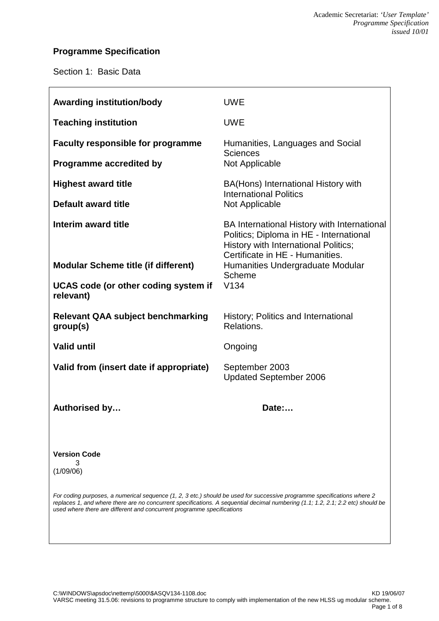# **Programme Specification**

Section 1: Basic Data

| <b>Awarding institution/body</b>                                                                                                                                                                                                                                                                                                     | <b>UWE</b>                                                                                                                                                        |  |  |
|--------------------------------------------------------------------------------------------------------------------------------------------------------------------------------------------------------------------------------------------------------------------------------------------------------------------------------------|-------------------------------------------------------------------------------------------------------------------------------------------------------------------|--|--|
| <b>Teaching institution</b>                                                                                                                                                                                                                                                                                                          | <b>UWE</b>                                                                                                                                                        |  |  |
| <b>Faculty responsible for programme</b>                                                                                                                                                                                                                                                                                             | Humanities, Languages and Social<br><b>Sciences</b><br>Not Applicable                                                                                             |  |  |
| <b>Programme accredited by</b>                                                                                                                                                                                                                                                                                                       |                                                                                                                                                                   |  |  |
| <b>Highest award title</b>                                                                                                                                                                                                                                                                                                           | BA(Hons) International History with<br><b>International Politics</b><br>Not Applicable                                                                            |  |  |
| Default award title                                                                                                                                                                                                                                                                                                                  |                                                                                                                                                                   |  |  |
| Interim award title                                                                                                                                                                                                                                                                                                                  | BA International History with International<br>Politics; Diploma in HE - International<br>History with International Politics;<br>Certificate in HE - Humanities. |  |  |
| <b>Modular Scheme title (if different)</b>                                                                                                                                                                                                                                                                                           | Humanities Undergraduate Modular<br><b>Scheme</b>                                                                                                                 |  |  |
| UCAS code (or other coding system if<br>relevant)                                                                                                                                                                                                                                                                                    | V134                                                                                                                                                              |  |  |
| <b>Relevant QAA subject benchmarking</b><br>group(s)                                                                                                                                                                                                                                                                                 | History; Politics and International<br>Relations.                                                                                                                 |  |  |
| <b>Valid until</b>                                                                                                                                                                                                                                                                                                                   | Ongoing                                                                                                                                                           |  |  |
| Valid from (insert date if appropriate)                                                                                                                                                                                                                                                                                              | September 2003<br><b>Updated September 2006</b>                                                                                                                   |  |  |
| Authorised by                                                                                                                                                                                                                                                                                                                        | Date:                                                                                                                                                             |  |  |
| <b>Version Code</b><br>3<br>(1/09/06)                                                                                                                                                                                                                                                                                                |                                                                                                                                                                   |  |  |
| For coding purposes, a numerical sequence (1, 2, 3 etc.) should be used for successive programme specifications where 2<br>replaces 1, and where there are no concurrent specifications. A sequential decimal numbering (1.1; 1.2, 2.1; 2.2 etc) should be<br>used where there are different and concurrent programme specifications |                                                                                                                                                                   |  |  |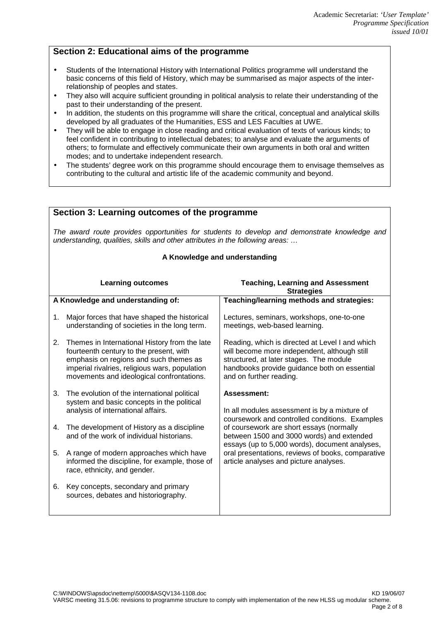## **Section 2: Educational aims of the programme**

- Students of the International History with International Politics programme will understand the basic concerns of this field of History, which may be summarised as major aspects of the interrelationship of peoples and states.
- They also will acquire sufficient grounding in political analysis to relate their understanding of the past to their understanding of the present.
- In addition, the students on this programme will share the critical, conceptual and analytical skills developed by all graduates of the Humanities, ESS and LES Faculties at UWE.
- They will be able to engage in close reading and critical evaluation of texts of various kinds; to feel confident in contributing to intellectual debates; to analyse and evaluate the arguments of others; to formulate and effectively communicate their own arguments in both oral and written modes; and to undertake independent research.
- The students' degree work on this programme should encourage them to envisage themselves as contributing to the cultural and artistic life of the academic community and beyond.

|                                                                                                                                                                               | Section 3: Learning outcomes of the programme                                                                                                                                                                                     |                                                                                                                                                                                                                       |  |
|-------------------------------------------------------------------------------------------------------------------------------------------------------------------------------|-----------------------------------------------------------------------------------------------------------------------------------------------------------------------------------------------------------------------------------|-----------------------------------------------------------------------------------------------------------------------------------------------------------------------------------------------------------------------|--|
| The award route provides opportunities for students to develop and demonstrate knowledge and<br>understanding, qualities, skills and other attributes in the following areas: |                                                                                                                                                                                                                                   |                                                                                                                                                                                                                       |  |
|                                                                                                                                                                               | A Knowledge and understanding                                                                                                                                                                                                     |                                                                                                                                                                                                                       |  |
| <b>Learning outcomes</b>                                                                                                                                                      |                                                                                                                                                                                                                                   | <b>Teaching, Learning and Assessment</b><br><b>Strategies</b>                                                                                                                                                         |  |
|                                                                                                                                                                               | A Knowledge and understanding of:                                                                                                                                                                                                 | Teaching/learning methods and strategies:                                                                                                                                                                             |  |
| 1.                                                                                                                                                                            | Major forces that have shaped the historical<br>understanding of societies in the long term.                                                                                                                                      | Lectures, seminars, workshops, one-to-one<br>meetings, web-based learning.                                                                                                                                            |  |
| 2.                                                                                                                                                                            | Themes in International History from the late<br>fourteenth century to the present, with<br>emphasis on regions and such themes as<br>imperial rivalries, religious wars, population<br>movements and ideological confrontations. | Reading, which is directed at Level I and which<br>will become more independent, although still<br>structured, at later stages. The module<br>handbooks provide guidance both on essential<br>and on further reading. |  |
| 3.                                                                                                                                                                            | The evolution of the international political<br>system and basic concepts in the political                                                                                                                                        | Assessment:                                                                                                                                                                                                           |  |
|                                                                                                                                                                               | analysis of international affairs.                                                                                                                                                                                                | In all modules assessment is by a mixture of                                                                                                                                                                          |  |
| 4.                                                                                                                                                                            | The development of History as a discipline<br>and of the work of individual historians.                                                                                                                                           | coursework and controlled conditions. Examples<br>of coursework are short essays (normally<br>between 1500 and 3000 words) and extended<br>essays (up to 5,000 words), document analyses,                             |  |
| 5.                                                                                                                                                                            | A range of modern approaches which have<br>informed the discipline, for example, those of<br>race, ethnicity, and gender.                                                                                                         | oral presentations, reviews of books, comparative<br>article analyses and picture analyses.                                                                                                                           |  |
| 6.                                                                                                                                                                            | Key concepts, secondary and primary<br>sources, debates and historiography.                                                                                                                                                       |                                                                                                                                                                                                                       |  |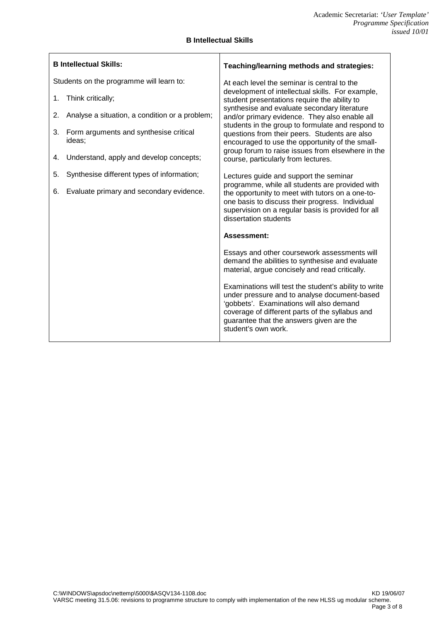$\overline{\phantom{0}}$ 

| <b>B Intellectual Skills</b> |  |
|------------------------------|--|
|                              |  |

 $\overline{\phantom{a}}$ 

| <b>B Intellectual Skills:</b>                          | Teaching/learning methods and strategies:                                                                                                                                                                                                                               |  |
|--------------------------------------------------------|-------------------------------------------------------------------------------------------------------------------------------------------------------------------------------------------------------------------------------------------------------------------------|--|
| Students on the programme will learn to:               | At each level the seminar is central to the                                                                                                                                                                                                                             |  |
| 1.<br>Think critically;                                | development of intellectual skills. For example,<br>student presentations require the ability to                                                                                                                                                                        |  |
| Analyse a situation, a condition or a problem;<br>2.   | synthesise and evaluate secondary literature<br>and/or primary evidence. They also enable all                                                                                                                                                                           |  |
| Form arguments and synthesise critical<br>3.<br>ideas; | students in the group to formulate and respond to<br>questions from their peers. Students are also<br>encouraged to use the opportunity of the small-                                                                                                                   |  |
| Understand, apply and develop concepts;<br>4.          | group forum to raise issues from elsewhere in the<br>course, particularly from lectures.                                                                                                                                                                                |  |
| Synthesise different types of information;<br>5.       | Lectures guide and support the seminar                                                                                                                                                                                                                                  |  |
| Evaluate primary and secondary evidence.<br>6.         | programme, while all students are provided with<br>the opportunity to meet with tutors on a one-to-<br>one basis to discuss their progress. Individual<br>supervision on a regular basis is provided for all<br>dissertation students                                   |  |
|                                                        | Assessment:                                                                                                                                                                                                                                                             |  |
|                                                        | Essays and other coursework assessments will<br>demand the abilities to synthesise and evaluate<br>material, argue concisely and read critically.                                                                                                                       |  |
|                                                        | Examinations will test the student's ability to write<br>under pressure and to analyse document-based<br>'gobbets'. Examinations will also demand<br>coverage of different parts of the syllabus and<br>guarantee that the answers given are the<br>student's own work. |  |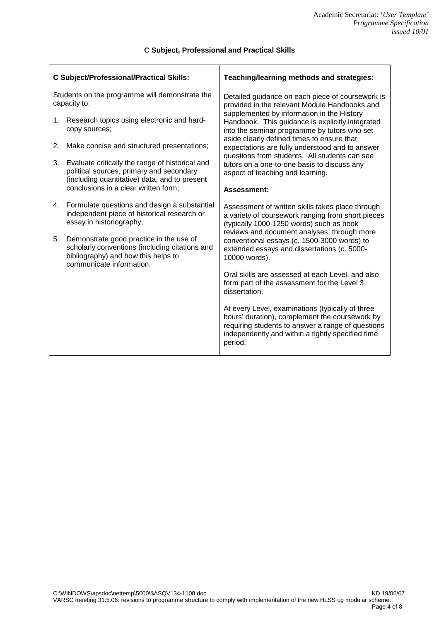| <b>C Subject/Professional/Practical Skills:</b>                |                                                                                                                                                              | Teaching/learning methods and strategies:                                                                                                                                                                               |  |
|----------------------------------------------------------------|--------------------------------------------------------------------------------------------------------------------------------------------------------------|-------------------------------------------------------------------------------------------------------------------------------------------------------------------------------------------------------------------------|--|
| Students on the programme will demonstrate the<br>capacity to: |                                                                                                                                                              | Detailed guidance on each piece of coursework is<br>provided in the relevant Module Handbooks and                                                                                                                       |  |
| 1.                                                             | Research topics using electronic and hard-<br>copy sources;                                                                                                  | supplemented by information in the History<br>Handbook. This guidance is explicitly integrated<br>into the seminar programme by tutors who set                                                                          |  |
| 2.                                                             | Make concise and structured presentations;                                                                                                                   | aside clearly defined times to ensure that<br>expectations are fully understood and to answer<br>questions from students. All students can see                                                                          |  |
| 3.                                                             | Evaluate critically the range of historical and<br>political sources, primary and secondary<br>(including quantitative) data, and to present                 | tutors on a one-to-one basis to discuss any<br>aspect of teaching and learning.                                                                                                                                         |  |
|                                                                | conclusions in a clear written form;                                                                                                                         | Assessment:                                                                                                                                                                                                             |  |
| 4.                                                             | Formulate questions and design a substantial<br>independent piece of historical research or<br>essay in historiography;                                      | Assessment of written skills takes place through<br>a variety of coursework ranging from short pieces<br>(typically 1000-1250 words) such as book<br>reviews and document analyses, through more                        |  |
| 5.                                                             | Demonstrate good practice in the use of<br>scholarly conventions (including citations and<br>bibliography) and how this helps to<br>communicate information. | conventional essays (c. 1500-3000 words) to<br>extended essays and dissertations (c. 5000-<br>10000 words).                                                                                                             |  |
|                                                                |                                                                                                                                                              | Oral skills are assessed at each Level, and also<br>form part of the assessment for the Level 3<br>dissertation.                                                                                                        |  |
|                                                                |                                                                                                                                                              | At every Level, examinations (typically of three<br>hours' duration), complement the coursework by<br>requiring students to answer a range of questions<br>independently and within a tightly specified time<br>period. |  |

#### **C Subject, Professional and Practical Skills**

T

 $\overline{1}$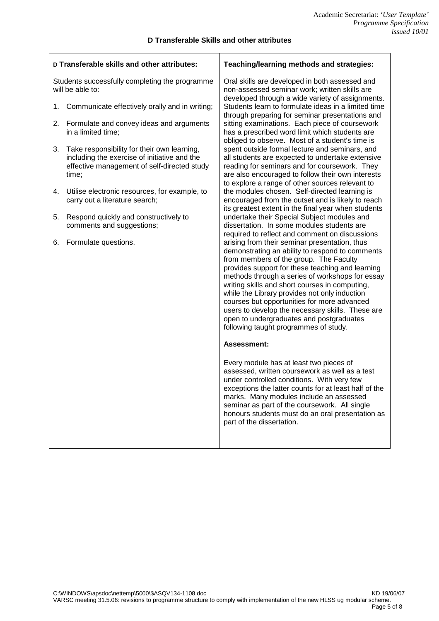$\overline{\phantom{0}}$ 

 $\mathbf{r}$ 

| D Transferable skills and other attributes:                        |                                                                                                                                                     | Teaching/learning methods and strategies:                                                                                                                                                                                                                                                                                                                                                                                                                                                                                                    |  |
|--------------------------------------------------------------------|-----------------------------------------------------------------------------------------------------------------------------------------------------|----------------------------------------------------------------------------------------------------------------------------------------------------------------------------------------------------------------------------------------------------------------------------------------------------------------------------------------------------------------------------------------------------------------------------------------------------------------------------------------------------------------------------------------------|--|
| Students successfully completing the programme<br>will be able to: |                                                                                                                                                     | Oral skills are developed in both assessed and<br>non-assessed seminar work; written skills are<br>developed through a wide variety of assignments.                                                                                                                                                                                                                                                                                                                                                                                          |  |
| 1.                                                                 | Communicate effectively orally and in writing;                                                                                                      | Students learn to formulate ideas in a limited time<br>through preparing for seminar presentations and                                                                                                                                                                                                                                                                                                                                                                                                                                       |  |
| 2.                                                                 | Formulate and convey ideas and arguments<br>in a limited time;                                                                                      | sitting examinations. Each piece of coursework<br>has a prescribed word limit which students are<br>obliged to observe. Most of a student's time is                                                                                                                                                                                                                                                                                                                                                                                          |  |
| 3.                                                                 | Take responsibility for their own learning,<br>including the exercise of initiative and the<br>effective management of self-directed study<br>time; | spent outside formal lecture and seminars, and<br>all students are expected to undertake extensive<br>reading for seminars and for coursework. They<br>are also encouraged to follow their own interests<br>to explore a range of other sources relevant to                                                                                                                                                                                                                                                                                  |  |
| 4.                                                                 | Utilise electronic resources, for example, to<br>carry out a literature search;                                                                     | the modules chosen. Self-directed learning is<br>encouraged from the outset and is likely to reach<br>its greatest extent in the final year when students                                                                                                                                                                                                                                                                                                                                                                                    |  |
| 5.                                                                 | Respond quickly and constructively to<br>comments and suggestions;                                                                                  | undertake their Special Subject modules and<br>dissertation. In some modules students are<br>required to reflect and comment on discussions                                                                                                                                                                                                                                                                                                                                                                                                  |  |
| 6.                                                                 | Formulate questions.                                                                                                                                | arising from their seminar presentation, thus<br>demonstrating an ability to respond to comments<br>from members of the group. The Faculty<br>provides support for these teaching and learning<br>methods through a series of workshops for essay<br>writing skills and short courses in computing,<br>while the Library provides not only induction<br>courses but opportunities for more advanced<br>users to develop the necessary skills. These are<br>open to undergraduates and postgraduates<br>following taught programmes of study. |  |
|                                                                    |                                                                                                                                                     | Assessment:                                                                                                                                                                                                                                                                                                                                                                                                                                                                                                                                  |  |
|                                                                    |                                                                                                                                                     | Every module has at least two pieces of<br>assessed, written coursework as well as a test<br>under controlled conditions. With very few<br>exceptions the latter counts for at least half of the<br>marks. Many modules include an assessed<br>seminar as part of the coursework. All single<br>honours students must do an oral presentation as<br>part of the dissertation.                                                                                                                                                                |  |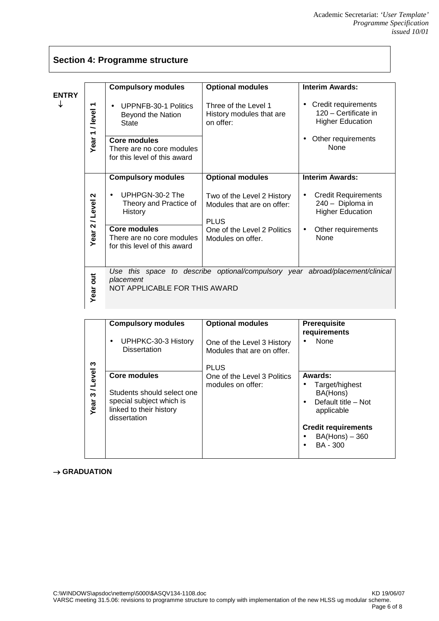## **Section 4: Programme structure**

| <b>ENTRY</b> | /level<br>$\overline{\phantom{0}}$ | <b>Compulsory modules</b><br><b>UPPNFB-30-1 Politics</b><br>Beyond the Nation<br>State | <b>Optional modules</b><br>Three of the Level 1<br>History modules that are<br>on offer: | <b>Interim Awards:</b><br>Credit requirements<br>120 - Certificate in<br><b>Higher Education</b> |
|--------------|------------------------------------|----------------------------------------------------------------------------------------|------------------------------------------------------------------------------------------|--------------------------------------------------------------------------------------------------|
|              | Year                               | <b>Core modules</b><br>There are no core modules<br>for this level of this award       |                                                                                          | Other requirements<br><b>None</b>                                                                |
|              |                                    | <b>Compulsory modules</b>                                                              | <b>Optional modules</b>                                                                  | <b>Interim Awards:</b>                                                                           |
|              | $\sim$<br>Year 2 / Level           | UPHPGN-30-2 The<br>Theory and Practice of<br>History                                   | Two of the Level 2 History<br>Modules that are on offer:<br><b>PLUS</b>                  | <b>Credit Requirements</b><br>240 - Diploma in<br><b>Higher Education</b>                        |
|              |                                    | <b>Core modules</b><br>There are no core modules<br>for this level of this award       | One of the Level 2 Politics<br>Modules on offer.                                         | Other requirements<br>$\bullet$<br>None                                                          |
|              | <b>Jiro</b><br>Year                | placement<br>NOT APPLICABLE FOR THIS AWARD                                             | Use this space to describe optional/compulsory year abroad/placement/clinical            |                                                                                                  |

|              | <b>Compulsory modules</b><br>UPHPKC-30-3 History<br>٠<br><b>Dissertation</b> | <b>Optional modules</b><br>One of the Level 3 History<br>Modules that are on offer. | Prerequisite<br>requirements<br>None                                                                 |
|--------------|------------------------------------------------------------------------------|-------------------------------------------------------------------------------------|------------------------------------------------------------------------------------------------------|
| ო<br>3/Level | <b>Core modules</b><br>Students should select one                            | <b>PLUS</b><br>One of the Level 3 Politics<br>modules on offer:                     | Awards:<br>Target/highest<br>BA(Hons)                                                                |
| Year         | special subject which is<br>linked to their history<br>dissertation          |                                                                                     | Default title - Not<br>applicable<br><b>Credit requirements</b><br>$BA(Hons) - 360$<br>BA - 300<br>٠ |

### $\rightarrow$  GRADUATION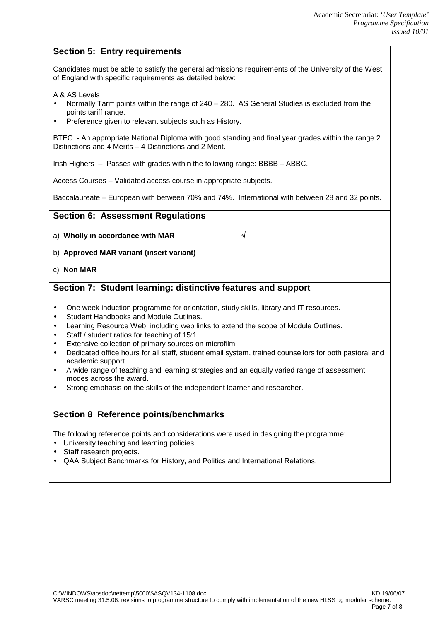## **Section 5: Entry requirements**

Candidates must be able to satisfy the general admissions requirements of the University of the West of England with specific requirements as detailed below:

#### A & AS Levels

- Normally Tariff points within the range of 240 280. AS General Studies is excluded from the points tariff range.
- Preference given to relevant subjects such as History.

BTEC - An appropriate National Diploma with good standing and final year grades within the range 2 Distinctions and 4 Merits – 4 Distinctions and 2 Merit.

Irish Highers – Passes with grades within the following range: BBBB – ABBC.

Access Courses – Validated access course in appropriate subjects.

Baccalaureate – European with between 70% and 74%. International with between 28 and 32 points.

### **Section 6: Assessment Regulations**

- a) **Wholly in accordance with MAR**
- b) **Approved MAR variant (insert variant)**
- c) **Non MAR**

### **Section 7: Student learning: distinctive features and support**

- One week induction programme for orientation, study skills, library and IT resources.
- Student Handbooks and Module Outlines.
- Learning Resource Web, including web links to extend the scope of Module Outlines.
- Staff / student ratios for teaching of 15:1.
- Extensive collection of primary sources on microfilm
- Dedicated office hours for all staff, student email system, trained counsellors for both pastoral and academic support.
- A wide range of teaching and learning strategies and an equally varied range of assessment modes across the award.
- Strong emphasis on the skills of the independent learner and researcher.

### **Section 8 Reference points/benchmarks**

The following reference points and considerations were used in designing the programme:

- University teaching and learning policies.
- Staff research projects.
- QAA Subject Benchmarks for History, and Politics and International Relations.